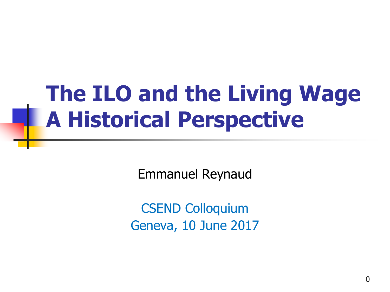## **The ILO and the Living Wage A Historical Perspective**

Emmanuel Reynaud

CSEND Colloquium Geneva, 10 June 2017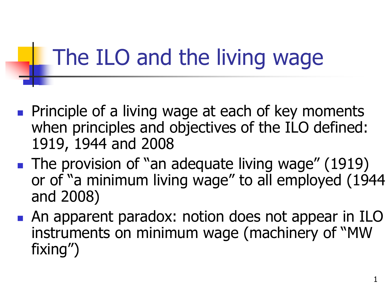## The ILO and the living wage

- **Principle of a living wage at each of key moments** when principles and objectives of the ILO defined: 1919, 1944 and 2008
- **The provision of "an adequate living wage" (1919)** or of "a minimum living wage" to all employed (1944 and 2008)
- **An apparent paradox: notion does not appear in ILO** instruments on minimum wage (machinery of "MW fixing")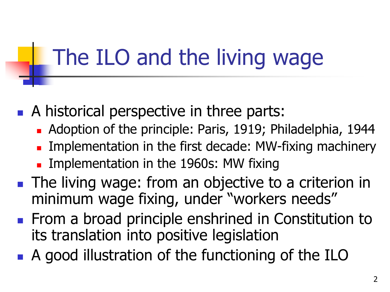## The ILO and the living wage

- A historical perspective in three parts:
	- **Adoption of the principle: Paris, 1919; Philadelphia, 1944**
	- **Implementation in the first decade: MW-fixing machinery**
	- **Implementation in the 1960s: MW fixing**
- **The living wage: from an objective to a criterion in** minimum wage fixing, under "workers needs"
- **From a broad principle enshrined in Constitution to** its translation into positive legislation
- A good illustration of the functioning of the ILO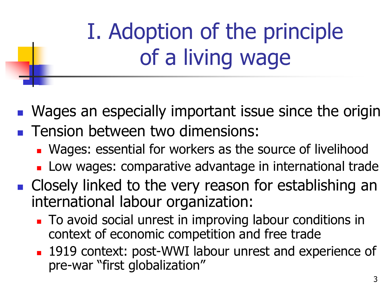I. Adoption of the principle of a living wage

Wages an especially important issue since the origin

- **Tension between two dimensions:** 
	- Wages: essential for workers as the source of livelihood
	- **Low wages: comparative advantage in international trade**
- **Closely linked to the very reason for establishing an** international labour organization:
	- To avoid social unrest in improving labour conditions in context of economic competition and free trade
	- 1919 context: post-WWI labour unrest and experience of pre-war "first globalization"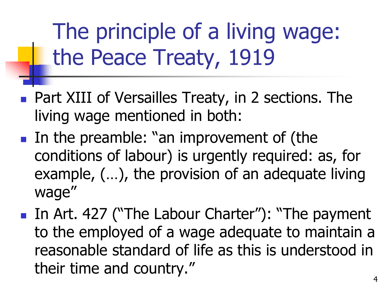The principle of a living wage: the Peace Treaty, 1919

- **Part XIII of Versailles Treaty, in 2 sections. The** living wage mentioned in both:
- In the preamble: "an improvement of (the conditions of labour) is urgently required: as, for example, (…), the provision of an adequate living wage"
- In Art. 427 ("The Labour Charter"): "The payment to the employed of a wage adequate to maintain a reasonable standard of life as this is understood in their time and country."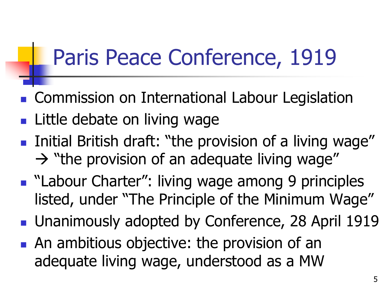#### Paris Peace Conference, 1919

- **Commission on International Labour Legislation**
- **Little debate on living wage**
- **Initial British draft: "the provision of a living wage"**  $\rightarrow$  "the provision of an adequate living wage"
- "Labour Charter": living wage among 9 principles listed, under "The Principle of the Minimum Wage"
- **Unanimously adopted by Conference, 28 April 1919**
- **An ambitious objective: the provision of an** adequate living wage, understood as a MW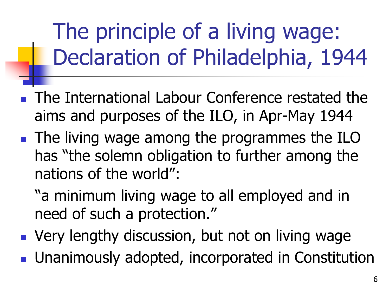The principle of a living wage: Declaration of Philadelphia, 1944

- The International Labour Conference restated the aims and purposes of the ILO, in Apr-May 1944
- The living wage among the programmes the ILO has "the solemn obligation to further among the nations of the world":
	- "a minimum living wage to all employed and in need of such a protection."
- **Very lengthy discussion, but not on living wage Unanimously adopted, incorporated in Constitution**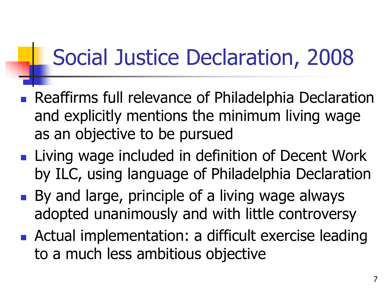## Social Justice Declaration, 2008

- **Reaffirms full relevance of Philadelphia Declaration** and explicitly mentions the minimum living wage as an objective to be pursued
- **Living wage included in definition of Decent Work** by ILC, using language of Philadelphia Declaration
- By and large, principle of a living wage always adopted unanimously and with little controversy
- **Actual implementation: a difficult exercise leading** to a much less ambitious objective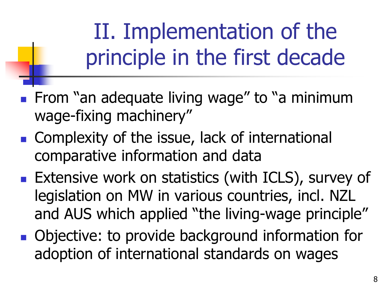II. Implementation of the principle in the first decade

- **From "an adequate living wage" to "a minimum** wage-fixing machinery"
- Complexity of the issue, lack of international comparative information and data
- **Extensive work on statistics (with ICLS), survey of** legislation on MW in various countries, incl. NZL and AUS which applied "the living-wage principle"
- Objective: to provide background information for adoption of international standards on wages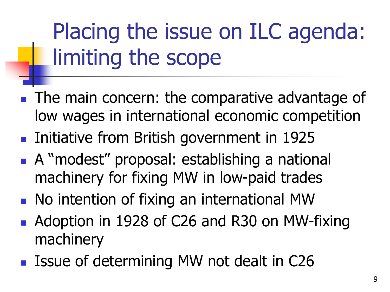Placing the issue on ILC agenda: limiting the scope

- The main concern: the comparative advantage of low wages in international economic competition
- **Initiative from British government in 1925**
- A "modest" proposal: establishing a national machinery for fixing MW in low-paid trades
- No intention of fixing an international MW
- Adoption in 1928 of C26 and R30 on MW-fixing machinery
- Issue of determining MW not dealt in C26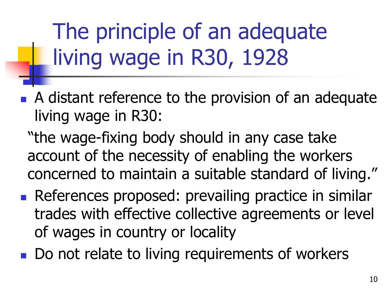The principle of an adequate living wage in R30, 1928

- A distant reference to the provision of an adequate living wage in R30:
	- "the wage-fixing body should in any case take account of the necessity of enabling the workers concerned to maintain a suitable standard of living."
- References proposed: prevailing practice in similar trades with effective collective agreements or level of wages in country or locality
- Do not relate to living requirements of workers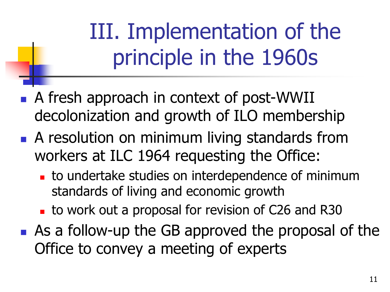III. Implementation of the principle in the 1960s

- A fresh approach in context of post-WWII decolonization and growth of ILO membership
- **A resolution on minimum living standards from** workers at ILC 1964 requesting the Office:
	- to undertake studies on interdependence of minimum standards of living and economic growth
	- to work out a proposal for revision of C26 and R30
- As a follow-up the GB approved the proposal of the Office to convey a meeting of experts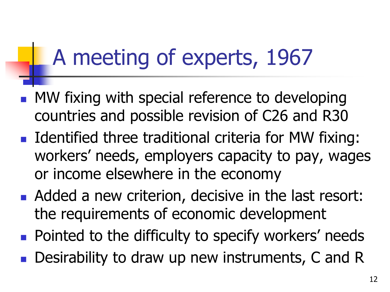## A meeting of experts, 1967

- **MW** fixing with special reference to developing countries and possible revision of C26 and R30
- Identified three traditional criteria for MW fixing: workers' needs, employers capacity to pay, wages or income elsewhere in the economy
- Added a new criterion, decisive in the last resort: the requirements of economic development
- **Pointed to the difficulty to specify workers' needs**
- **Desirability to draw up new instruments, C and R**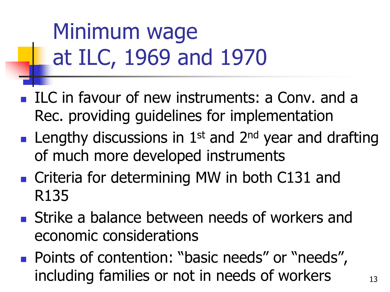Minimum wage at ILC, 1969 and 1970

- ILC in favour of new instruments: a Conv. and a Rec. providing guidelines for implementation
- **Lengthy discussions in 1st and 2<sup>nd</sup> year and drafting** of much more developed instruments
- Criteria for determining MW in both C131 and R135
- **Strike a balance between needs of workers and** economic considerations
- Points of contention: "basic needs" or "needs", including families or not in needs of workers  $13$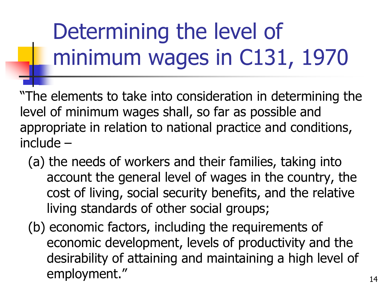# Determining the level of minimum wages in C131, 1970

"The elements to take into consideration in determining the level of minimum wages shall, so far as possible and appropriate in relation to national practice and conditions, include –

- (a) the needs of workers and their families, taking into account the general level of wages in the country, the cost of living, social security benefits, and the relative living standards of other social groups;
- (b) economic factors, including the requirements of economic development, levels of productivity and the desirability of attaining and maintaining a high level of employment." and the same state of the state of the state of the state of the state of the state of the state of the state of the state of the state of the state of the state of the state of the state of the state of the s